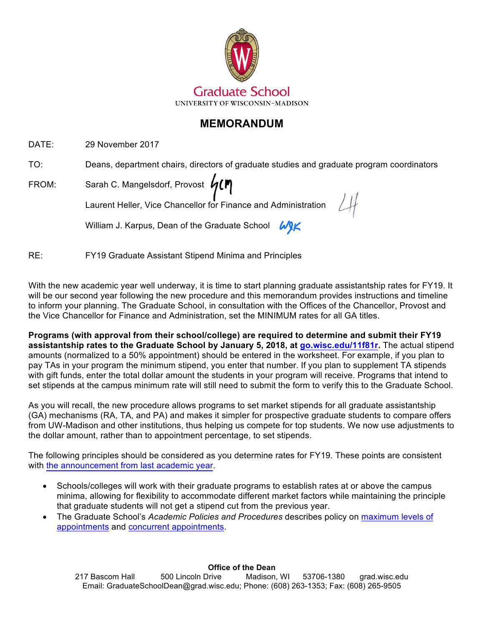

# **MEMORANDUM**

DATE: 29 November 2017

TO: Deans, department chairs, directors of graduate studies and graduate program coordinators

FROM: Sarah C. Mangelsdorf, Provost

Laurent Heller, Vice Chancellor for Finance and Administration

William J. Karpus, Dean of the Graduate School WIK

RE: FY19 Graduate Assistant Stipend Minima and Principles

With the new academic year well underway, it is time to start planning graduate assistantship rates for FY19. It will be our second year following the new procedure and this memorandum provides instructions and timeline to inform your planning. The Graduate School, in consultation with the Offices of the Chancellor, Provost and the Vice Chancellor for Finance and Administration, set the MINIMUM rates for all GA titles.

**Programs (with approval from their school/college) are required to determine and submit their FY19 assistantship rates to the Graduate School by January 5, 2018, at [go.wisc.edu/11f81r.](http://go.wisc.edu/11f81r)** The actual stipend amounts (normalized to a 50% appointment) should be entered in the worksheet. For example, if you plan to pay TAs in your program the minimum stipend, you enter that number. If you plan to supplement TA stipends with gift funds, enter the total dollar amount the students in your program will receive. Programs that intend to set stipends at the campus minimum rate will still need to submit the form to verify this to the Graduate School.

As you will recall, the new procedure allows programs to set market stipends for all graduate assistantship (GA) mechanisms (RA, TA, and PA) and makes it simpler for prospective graduate students to compare offers from UW-Madison and other institutions, thus helping us compete for top students. We now use adjustments to the dollar amount, rather than to appointment percentage, to set stipends.

The following principles should be considered as you determine rates for FY19. These points are consistent with the [announcement](https://grad.wisc.edu/wp-content/uploads/2016/08/Final-FY18-Graduate-Assistantship-Memo-1.pdf) from last academic year.

- Schools/colleges will work with their graduate programs to establish rates at or above the campus minima, allowing for flexibility to accommodate different market factors while maintaining the principle that graduate students will not get a stipend cut from the previous year.
- The Graduate School's *Academic Policies and Procedures* describes policy on [maximum levels of](https://grad.wisc.edu/acadpolicy/?policy=maximumlevelsofappointments) [appointments](https://grad.wisc.edu/acadpolicy/?policy=maximumlevelsofappointments) and [concurrent appointments.](https://grad.wisc.edu/acadpolicy/?policy=concurrentappointments)

### **Office of the Dean**